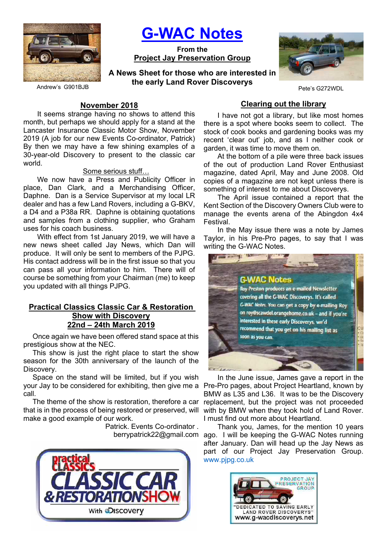

G-WAC Notes

From the Project Jay Preservation Group

A News Sheet for those who are interested in the early Land Rover Discoverys



Pete's G272WDL

Andrew's G901BJB

#### November 2018

It seems strange having no shows to attend this month, but perhaps we should apply for a stand at the Lancaster Insurance Classic Motor Show, November 2019 (A job for our new Events Co-ordinator, Patrick) By then we may have a few shining examples of a 30-year-old Discovery to present to the classic car world.

#### Some serious stuff…

We now have a Press and Publicity Officer in place, Dan Clark, and a Merchandising Officer, Daphne. Dan is a Service Supervisor at my local LR dealer and has a few Land Rovers, including a G-BKV, a D4 and a P38a RR. Daphne is obtaining quotations and samples from a clothing supplier, who Graham uses for his coach business.

With effect from 1st January 2019, we will have a new news sheet called Jay News, which Dan will produce. It will only be sent to members of the PJPG. His contact address will be in the first issue so that you can pass all your information to him. There will of course be something from your Chairman (me) to keep you updated with all things PJPG.

#### Practical Classics Classic Car & Restoration Show with Discovery 22nd – 24th March 2019

Once again we have been offered stand space at this prestigious show at the NEC.

This show is just the right place to start the show season for the 30th anniversary of the launch of the Discovery.

Space on the stand will be limited, but if you wish your Jay to be considered for exhibiting, then give me a call.

The theme of the show is restoration, therefore a car that is in the process of being restored or preserved, will make a good example of our work.

Patrick. Events Co-ordinator .



#### Clearing out the library

I have not got a library, but like most homes there is a spot where books seem to collect. The stock of cook books and gardening books was my recent 'clear out' job, and as I neither cook or garden, it was time to move them on.

At the bottom of a pile were three back issues of the out of production Land Rover Enthusiast magazine, dated April, May and June 2008. Old copies of a magazine are not kept unless there is something of interest to me about Discoverys.

The April issue contained a report that the Kent Section of the Discovery Owners Club were to manage the events arena of the Abingdon 4x4 Festival.

In the May issue there was a note by James Taylor, in his Pre-Pro pages, to say that I was writing the G-WAC Notes.



In the June issue, James gave a report in the Pre-Pro pages, about Project Heartland, known by BMW as L35 and L36. It was to be the Discovery replacement, but the project was not proceeded with by BMW when they took hold of Land Rover. I must find out more about Heartland.

Thank you, James, for the mention 10 years berrypatrick22@gmail.com ago. I will be keeping the G-WAC Notes running after January. Dan will head up the Jay News as part of our Project Jay Preservation Group. www.pjpg.co.uk

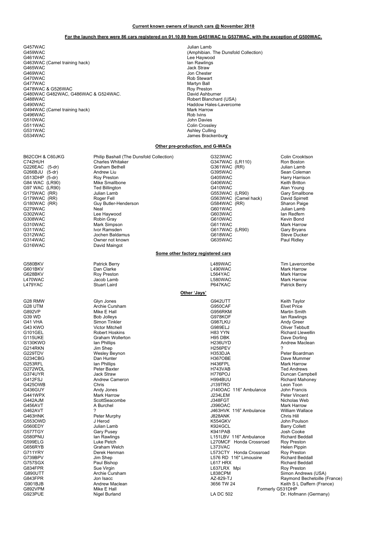#### Current known owners of launch cars @ November 2018

#### For the launch there were 86 cars registered on 01.10.89 from G451WAC to G537WAC, with the exception of G500WAC.

G457WAC Julian Lamb G461WAC Lee Haywood G463WAC (Camel training hack) **In the Contract of Contract Contract Contract Contract Contract Contract Contract Contract Contract Contract Contract Contract Contract Contract Contract Contract Contract Contract Contract C** G465WAC Jack Straw<br>G465WAC Jack Straw<br>G469WAC Jon Cheste G469WAC Jon Chester<br>G470WAC Jon Chester CATOWAC Jon Chester G470WAC GATOWAC CONTROL CONTROL CONTROL CONTROL CONTROL CONTROL CONTROL CONTROL CONTROL CONTROL CONTROL CONTROL CONTROL CONTROL CONTROL CONTROL CONTROL CONTROL CONTROL CONTROL CONTROL CONTROL CONTROL CONTROL CONTROL CONTRO G478WAC & G526WAC G480WAC G482WAC, G486WAC & G524WAC.<br>G488WAC G480WAC G482WAC, G486WAC & G524WAC.<br>G488WAC G488WAC G486WAC & G524WAC.<br>G490WAC Hales-Lavercor G494WAC (Camel training hack)<br>
G496WAC (G496WAC Mark Harrow Mark Harrow Mark Harrow Mark Harrow Mark Harrow Mark Harrow Mark Harrow Mark Harr<br>
G496WAC (Gamel training hack) G496WAC<br>G510WAC G510WAC John Davies<br>G511WAC G511WAC John Davies Superior of the Second Library of Second Library Colin Crossle G511WAC Colin Crossley Colin Crossley<br>Colin Crossley Culling G531WAC Ashley Culling<br>G534WAC Ashley Culling<br>Lames Bracke

(Amphibian. The Dunsfold Collection) Martyn Ball<br>Roy Preston Haddow Hales-Lavercome<br>Mark Harrow James Brackenbury

#### Other pre-production, and G-WACs

B62COH & C60JKG Philip Bashall (The Dunsfold Collection) G323WAC COOH & Colin Crooktson<br>C742HUH Charles Whitaker Collection G347WAC (LR110) Ron Boston C742HUH Charles Whitaker G347WAC (LR110) Ron Boston G226EAC (5-dr) Graham Bethell G361WAC (RR) Julian Lamb G311WAC Ivor Ramsden G617WAC (LR90) Gary Bryans G316WAC David Maingot

G266BJU (5-dr) Andrew Liu G395WAC Sean Coleman G513DHP (5-dr) Roy Preston G405WAC Harry Harrison G84 WAC (LR90) Mike Smallbone G406WAC Keith Britton G97 WAC(LR90) Ted Billington G410WAC Alan Young G175WAC (RR) (RR) Julian Lamb (G553WAC (LR90) Gary Smallbone<br>G179WAC (RR) Goger Fell (G563WAC (Camel hack) David Spirrett<br>G180WAC (RR) G180WAC (RR) Gharon Paige G179WAC (RR) Roger Fell G563WAC (Camel hack) David Spirrett G180WAC (RR) Guy Butler-Henderson G584WAC (RR) Sharon Paige G279WAC Neal G601WAC Julian Lamb G302WAC Lee Haywood G603WAC Ian Redfern G308WAC Robin Gray G610WAC Kevin Bond G310WAC Mark Simpson G611WAC Mark Harrow G312WAC Jochen Baldamus G618WAC Steve Ducker G314WAC Owner not known G635WAC Paul Ridley Some other factory registered cars G580BKV Patrick Berry L489WAC Tim Lavercombe G601BKV Dan Clarke L490WAC Mark Harrow G628BKV Roy Preston L564YAC Mark Harrow L470WAC Jacob Lamb L580WAC Mark Harrow L479YAC Stuart Laird P647KAC Patrick Berry Other 'Jays' G28 RMW Glyn Jones G942UTT Keith Taylor G28 UTM Archie Cursham G950CAF Elvet Price G892VP Mike E Hall G956RKM Martin Smith G39 WD Bob Jolleys G978KOF Ian Rawlings G41 VHA Simon Tinkler G987LKU Andy Greer G43 KWO Victor Mitchell G989ELJ Oliver Tebbutt G101GEL Robert Hoskins H83 YYN Richard Llewellin G115UKE Graham Wollerton H95 DBK Dave Dorling G130KWO Ian Phillips H236UYD Andrew Maclean G214RKN Jim Shep H256PEV ? G229TDV Wesley Beynon H353DJA Peter Boardman G234CBG Dan Hunter H367OBE Dave Mummer G253RFL Ian Phillips H436FPL Mark Harrow G272WDL Peter Baxter H743VAB Ted Andrews G374UYR Jack Straw H776POJ Duncan Campbell G412FSJ Andrew Cameron H994BUU Richard Mahoney G425OWB Chris J139TRO Leon Toon G436GUY Andy Jones J140OAC 116" Ambulance John Francis G441WPX Mark Harrow J234LEM Peter Vincent G442AJM ScottSeacombe J348FGT Nicholas Web G456AVT A Burchel J396OAC Mark Harrow G462AVT 2 2022 2023 2024 2024 2024 2024 2038 2046 2047 2046 2047 2046 2047 2046 2047 2046 2047 2046 2047 2046 20<br>CAGSHNK 2046 2046 2046 2047 2048 2049 2049 2048 2049 2048 2049 2049 2048 2049 2048 2047 2048 2047 2048 2047 2 G463HNK Peter Murphy J828ANK Chris Hill G553OWD J Herod K554GKV John Poulson G560EDY Julian Lamb K924GCL Barry Collett G577TGY Gary Pusey K941PAB Josh Cooke COTTION CONTROL CONTROL CONTROL CONTROL CONTROL CONTROL CONTROL CONTROL CONTROL CONTROL CONTROL CONTROL CONTRO<br>CONTROL CONTROL CONTROL CONTROL CONTROL CONTROL CONTROL CONTROL CONTROL CONTROL CONTROL CONTROL CONTROL CONTRO<br> G599ELG Luke Petch L270MCF Honda Crossroad Roy Preston G656RYB Graham Welch L373VAC Helen Pippin G711YRY Derek Henman L573CTY Honda Crossroad Roy Preston G739BPV Jim Shep Jim Shep L576 RD 116" Limousine C739BPV L576 RD 116" Limousine C757SGX G757SGX Paul Bishop L617 HRX Richard Beddall G834FPR Sue Virgin L637LRX Mpi Roy Preston G890UTT Archie Cursham L838CPM Simon Andrews (USA) George House (States Inc., 2008)<br>G843FPR Jon Isacc Jon Isacc (States AZ-829-TJ Raymond Bechetoille (France)<br>G901BJB Andrew Maclean (States Andrew Maclean) G901BJB Andrew Maclean 3656 TW 24 Keith S L Daffern (France) G892VPM Mike E Hall Formerly G531DHP

Dr. Hofmann (Germany)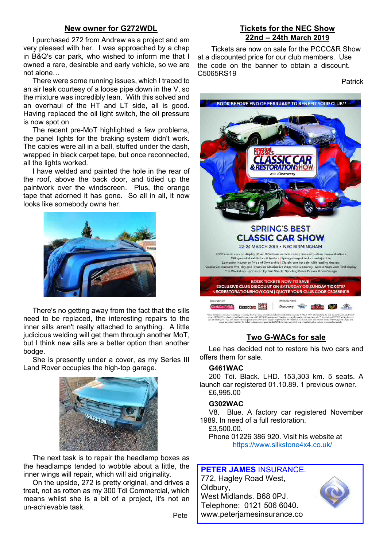### New owner for G272WDL

I purchased 272 from Andrew as a project and am very pleased with her. I was approached by a chap in B&Q's car park, who wished to inform me that I owned a rare, desirable and early vehicle, so we are not alone…

There were some running issues, which I traced to an air leak courtesy of a loose pipe down in the V, so the mixture was incredibly lean. With this solved and an overhaul of the HT and LT side, all is good. Having replaced the oil light switch, the oil pressure is now spot on

The recent pre-MoT highlighted a few problems, the panel lights for the braking system didn't work. The cables were all in a ball, stuffed under the dash, wrapped in black carpet tape, but once reconnected, all the lights worked.

I have welded and painted the hole in the rear of the roof, above the back door, and tidied up the paintwork over the windscreen. Plus, the orange tape that adorned it has gone. So all in all, it now looks like somebody owns her.



There's no getting away from the fact that the sills need to be replaced, the interesting repairs to the inner sills aren't really attached to anything. A little judicious welding will get them through another MoT, but I think new sills are a better option than another bodge.

She is presently under a cover, as my Series III Land Rover occupies the high-top garage.



The next task is to repair the headlamp boxes as the headlamps tended to wobble about a little, the inner wings will repair, which will aid originality.

On the upside, 272 is pretty original, and drives a treat, not as rotten as my 300 Tdi Commercial, which means whilst she is a bit of a project, it's not an un-achievable task.

Pete

## Tickets for the NEC Show 22nd – 24th March 2019

Tickets are now on sale for the PCCC&R Show at a discounted price for our club members. Use the code on the banner to obtain a discount. C5065RS19

Patrick



## Two G-WACs for sale

Lee has decided not to restore his two cars and offers them for sale.

#### G461WAC

200 Tdi. Black. LHD. 153,303 km. 5 seats. A launch car registered 01.10.89. 1 previous owner. £6,995.00

#### G302WAC

V8. Blue. A factory car registered November 1989. In need of a full restoration. £3,500.00.

Phone 01226 386 920. Visit his website at https://www.silkstone4x4.co.uk/

# PETER JAMES INSURANCE.

772, Hagley Road West, Oldbury, West Midlands. B68 0PJ. Telephone: 0121 506 6040. www.peterjamesinsurance.co